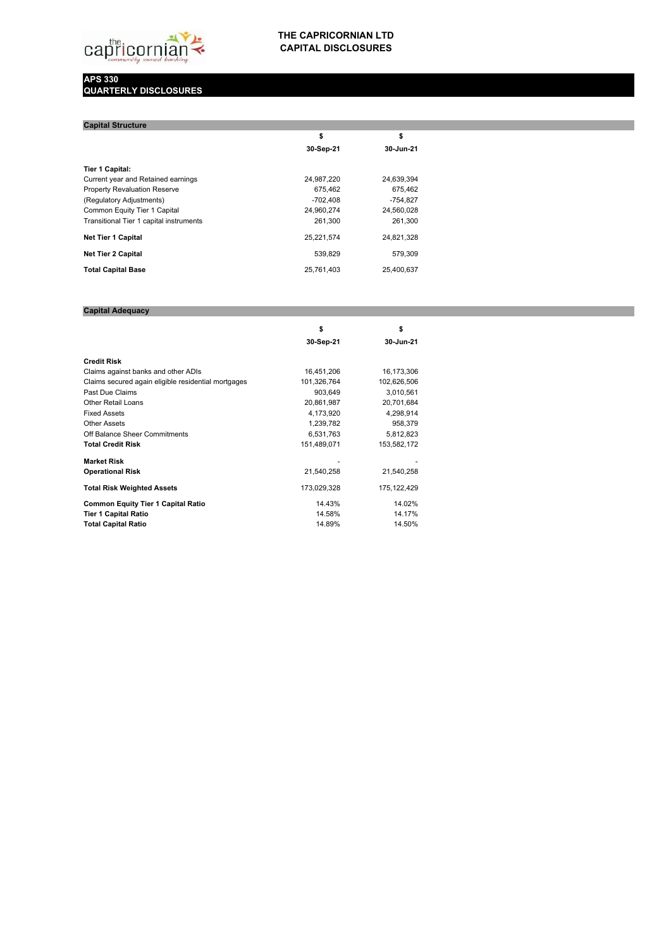

## **THE CAPRICORNIAN LTD CAPITAL DISCLOSURES**

## **APS 330 QUARTERLY DISCLOSURES**

| \$         | \$         |  |
|------------|------------|--|
| 30-Sep-21  | 30-Jun-21  |  |
|            |            |  |
| 24,987,220 | 24,639,394 |  |
| 675.462    | 675,462    |  |
| $-702.408$ | $-754,827$ |  |
| 24,960,274 | 24,560,028 |  |
| 261,300    | 261,300    |  |
| 25,221,574 | 24,821,328 |  |
| 539,829    | 579,309    |  |
| 25.761.403 | 25.400.637 |  |
|            |            |  |

## **Capital Adequacy**

|                                                     | \$          | \$          |  |
|-----------------------------------------------------|-------------|-------------|--|
|                                                     | 30-Sep-21   | 30-Jun-21   |  |
| <b>Credit Risk</b>                                  |             |             |  |
| Claims against banks and other ADIs                 | 16,451,206  | 16,173,306  |  |
| Claims secured again eligible residential mortgages | 101,326,764 | 102,626,506 |  |
| Past Due Claims                                     | 903,649     | 3,010,561   |  |
| <b>Other Retail Loans</b>                           | 20,861,987  | 20,701,684  |  |
| <b>Fixed Assets</b>                                 | 4,173,920   | 4,298,914   |  |
| <b>Other Assets</b>                                 | 1,239,782   | 958,379     |  |
| Off Balance Sheer Commitments                       | 6,531,763   | 5,812,823   |  |
| <b>Total Credit Risk</b>                            | 151,489,071 | 153,582,172 |  |
| <b>Market Risk</b>                                  |             |             |  |
| <b>Operational Risk</b>                             | 21,540,258  | 21,540,258  |  |
| <b>Total Risk Weighted Assets</b>                   | 173,029,328 | 175,122,429 |  |
| <b>Common Equity Tier 1 Capital Ratio</b>           | 14.43%      | 14.02%      |  |
| <b>Tier 1 Capital Ratio</b>                         | 14.58%      | 14.17%      |  |
| <b>Total Capital Ratio</b>                          | 14.89%      | 14.50%      |  |